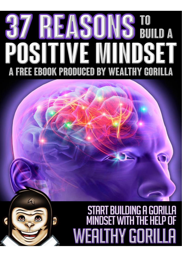## TO<br>Build A **ASI OSITIVE M** SE A FREE EBOOK PRODUCED BY WEALTHY GORILLA

 $\mathcal{L}_{V}$ 

a

# START BUILDING A GORIL<br>MINDSET WITH THE HELP **EALTHY GORI**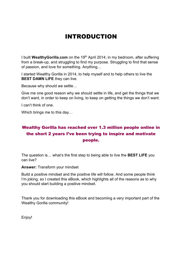### INTRODUCTION

I built **WealthyGorilla.com** on the 19th April 2014, in my bedroom, after suffering from a break-up, and struggling to find my purpose. Struggling to find that sense of passion, and love for something. Anything…

I started Wealthy Gorilla in 2014, to help myself and to help others to live the **BEST DAMN LIFE** they can live.

Because why should we settle…

Give me one good reason why we should settle in life, and get the things that we don't want, in order to keep on living, to keep on getting the things we don't want.

I can't think of one.

Which brings me to this day…

#### Wealthy Gorilla has reached over 1.3 million people online in the short 2 years I've been trying to inspire and motivate people.

The question is… what's the first step to being able to live the **BEST LIFE** you can live?

**Answer:** Transform your mindset

Build a positive mindset and the positive life will follow. And some people think I'm joking, so I created this eBook, which highlights all of the reasons as to why you should start building a positive mindset.

Thank you for downloading this eBook and becoming a very important part of the Wealthy Gorilla community!

Enjoy!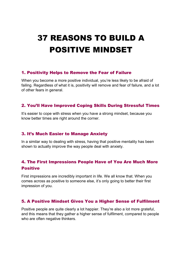## 37 REASONS TO BUILD A POSITIVE MINDSET

#### 1. Positivity Helps to Remove the Fear of Failure

When you become a more positive individual, you're less likely to be afraid of failing. Regardless of what it is, positivity will remove and fear of failure, and a lot of other fears in general.

#### 2. You'll Have Improved Coping Skills During Stressful Times

It's easier to cope with stress when you have a strong mindset, because you know better times are right around the corner.

#### 3. It's Much Easier to Manage Anxiety

In a similar way to dealing with stress, having that positive mentality has been shown to actually improve the way people deal with anxiety.

#### 4. The First Impressions People Have of You Are Much More **Positive**

First impressions are incredibly important in life. We all know that. When you comes across as positive to someone else, it's only going to better their first impression of you.

#### 5. A Positive Mindset Gives You a Higher Sense of Fulfilment

Positive people are quite clearly a lot happier. They're also a lot more grateful, and this means that they gather a higher sense of fulfilment, compared to people who are often negative thinkers.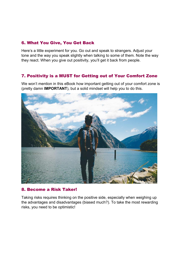#### 6. What You Give, You Get Back

Here's a little experiment for you. Go out and speak to strangers. Adjust your tone and the way you speak slightly when talking to some of them. Note the way they react. When you give out positivity, you'll get it back from people.

#### 7. Positivity is a MUST for Getting out of Your Comfort Zone

We won't mention in this eBook how important getting out of your comfort zone is (pretty damn **IMPORTANT**), but a solid mindset will help you to do this.



#### 8. Become a Risk Taker!

Taking risks requires thinking on the positive side, especially when weighing up the advantages and disadvantages (biased much?). To take the most rewarding risks, you need to be optimistic!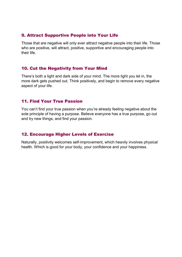#### 9. Attract Supportive People into Your Life

Those that are negative will only ever attract negative people into their life. Those who are positive, will attract, positive, supportive and encouraging people into their life.

#### 10. Cut the Negativity from Your Mind

There's both a light and dark side of your mind. The more light you let in, the more dark gets pushed out. Think positively, and begin to remove every negative aspect of your life.

#### 11. Find Your True Passion

You can't find your true passion when you're already feeling negative about the sole principle of having a purpose. Believe everyone has a true purpose, go out and try new things, and find your passion.

#### 12. Encourage Higher Levels of Exercise

Naturally, positivity welcomes self-improvement, which heavily involves physical health. Which is good for your body, your confidence and your happiness.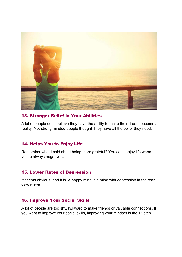

#### 13. Stronger Belief in Your Abilities

A lot of people don't believe they have the ability to make their dream become a reality. Not strong minded people though! They have all the belief they need.

#### 14. Helps You to Enjoy Life

Remember what I said about being more grateful? You can't enjoy life when you're always negative…

#### 15. Lower Rates of Depression

It seems obvious, and it is. A happy mind is a mind with depression in the rear view mirror.

#### 16. Improve Your Social Skills

A lot of people are too shy/awkward to make friends or valuable connections. If you want to improve your social skills, improving your mindset is the 1<sup>st</sup> step.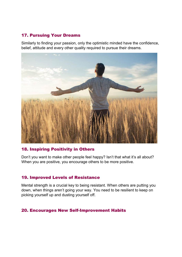#### 17. Pursuing Your Dreams

Similarly to finding your passion, only the optimistic minded have the confidence, belief, attitude and every other quality required to pursue their dreams.



#### 18. Inspiring Positivity in Others

Don't you want to make other people feel happy? Isn't that what it's all about? When you are positive, you encourage others to be more positive.

#### 19. Improved Levels of Resistance

Mental strength is a crucial key to being resistant. When others are putting you down, when things aren't going your way. You need to be resilient to keep on picking yourself up and dusting yourself off.

#### 20. Encourages New Self-Improvement Habits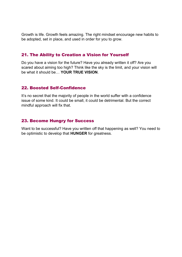Growth is life. Growth feels amazing. The right mindset encourage new habits to be adopted, set in place, and used in order for you to grow.

#### 21. The Ability to Creation a Vision for Yourself

Do you have a vision for the future? Have you already written it off? Are you scared about aiming too high? Think like the sky is the limit, and your vision will be what it should be… **YOUR TRUE VISION**.

#### 22. Boosted Self-Confidence

It's no secret that the majority of people in the world suffer with a confidence issue of some kind. It could be small, it could be detrimental. But the correct mindful approach will fix that.

#### 23. Become Hungry for Success

Want to be successful? Have you written off that happening as well? You need to be optimistic to develop that **HUNGER** for greatness.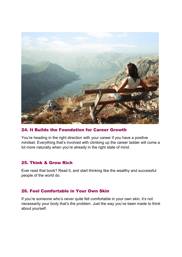

#### 24. It Builds the Foundation for Career Growth

You're heading in the right direction with your career if you have a positive mindset. Everything that's involved with climbing up the career ladder will come a lot more naturally when you're already in the right state of mind.

#### 25. Think & Grow Rich

Ever read that book? Read it, and start thinking like the wealthy and successful people of the world do.

#### 26. Feel Comfortable in Your Own Skin

If you're someone who's never quite felt comfortable in your own skin, it's not necessarily your body that's the problem. Just the way you've been made to think about yourself.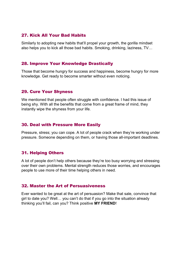#### 27. Kick All Your Bad Habits

Similarly to adopting new habits that'll propel your growth, the gorilla mindset also helps you to kick all those bad habits. Smoking, drinking, laziness, TV…

#### 28. Improve Your Knowledge Drastically

Those that become hungry for success and happiness, become hungry for more knowledge. Get ready to become smarter without even noticing.

#### 29. Cure Your Shyness

We mentioned that people often struggle with confidence. I had this issue of being shy. With all the benefits that come from a great frame of mind, they instantly wipe the shyness from your life.

#### 30. Deal with Pressure More Easily

Pressure, stress; you can cope. A lot of people crack when they're working under pressure. Someone depending on them, or having those all-important deadlines.

#### 31. Helping Others

A lot of people don't help others because they're too busy worrying and stressing over their own problems. Mental strength reduces those worries, and encourages people to use more of their time helping others in need.

#### 32. Master the Art of Persuasiveness

Ever wanted to be great at the art of persuasion? Make that sale, convince that girl to date you? Well… you can't do that if you go into the situation already thinking you'll fail, can you? Think positive **MY FRIEND**!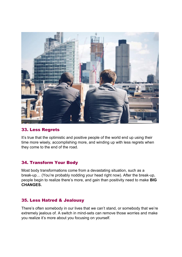

#### 33. Less Regrets

It's true that the optimistic and positive people of the world end up using their time more wisely, accomplishing more, and winding up with less regrets when they come to the end of the road.

#### 34. Transform Your Body

Most body transformations come from a devastating situation, such as a break-up… (You're probably nodding your head right now). After the break-up, people begin to realize there's more, and gain than positivity need to make **BIG CHANGES.**

#### 35. Less Hatred & Jealousy

There's often somebody in our lives that we can't stand, or somebody that we're extremely jealous of. A switch in mind-sets can remove those worries and make you realize it's more about you focusing on yourself.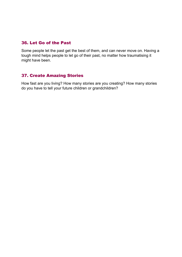#### 36. Let Go of the Past

Some people let the past get the best of them, and can never move on. Having a tough mind helps people to let go of their past, no matter how traumatising it might have been.

#### 37. Create Amazing Stories

How fast are you living? How many stories are you creating? How many stories do you have to tell your future children or grandchildren?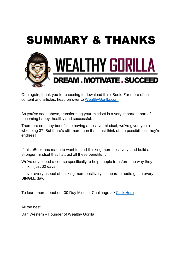

One again, thank you for choosing to download this eBook. For more of our content and articles, head on over to WealthyGorilla.com!

As you've seen above, transforming your mindset is a very important part of becoming happy, healthy and successful.

There are so many benefits to having a positive mindset; we've given you a whopping 37! But there's still more than that. Just think of the possibilities, they're endless!

If this eBook has made to want to start thinking more positively, and build a stronger mindset that'll attract all these benefits…

We've developed a course specifically to help people transform the way they think in just 30 days!

I cover every aspect of thinking more positively in separate audio guide every **SINGLE** day.

To learn more about our 30 Day Mindset Challenge >> Click Here

All the best,

Dan Western – Founder of Wealthy Gorilla